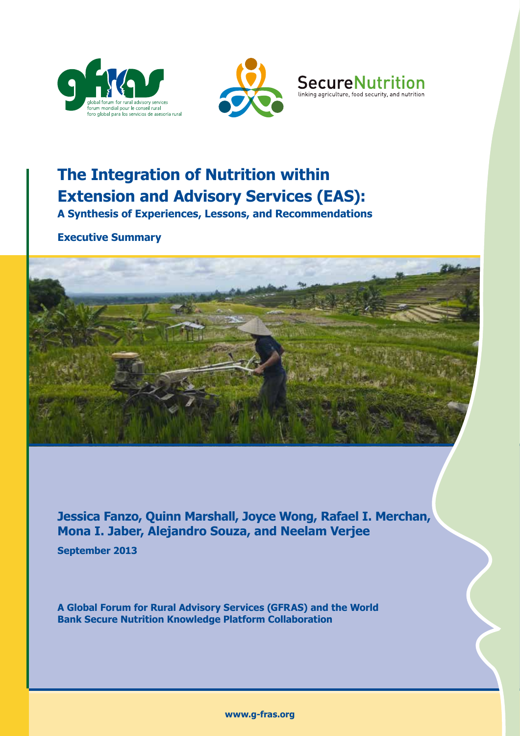





# **The Integration of Nutrition within Extension and Advisory Services (EAS):**

**A Synthesis of Experiences, Lessons, and Recommendations**

**Executive Summary**



**Jessica Fanzo, Quinn Marshall, Joyce Wong, Rafael I. Merchan, Mona I. Jaber, Alejandro Souza, and Neelam Verjee**

**September 2013**

**A Global Forum for Rural Advisory Services (GFRAS) and the World Bank Secure Nutrition Knowledge Platform Collaboration**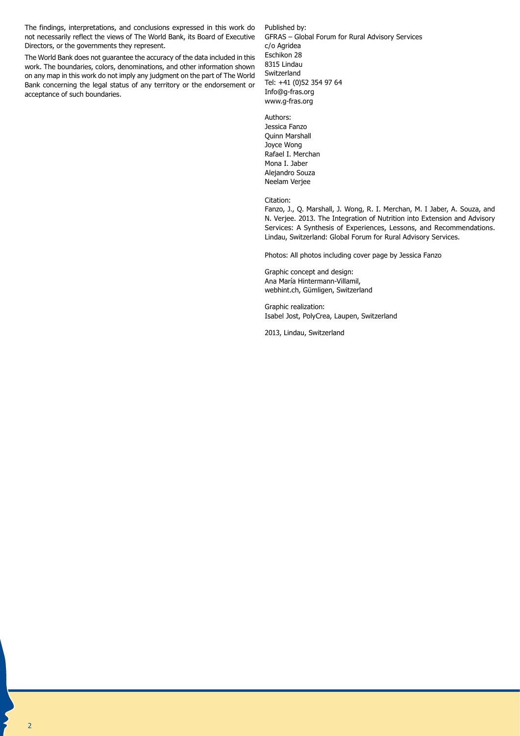The findings, interpretations, and conclusions expressed in this work do not necessarily reflect the views of The World Bank, its Board of Executive Directors, or the governments they represent.

The World Bank does not guarantee the accuracy of the data included in this work. The boundaries, colors, denominations, and other information shown on any map in this work do not imply any judgment on the part of The World Bank concerning the legal status of any territory or the endorsement or acceptance of such boundaries.

Published by: GFRAS – Global Forum for Rural Advisory Services c/o Agridea Eschikon 28 8315 Lindau Switzerland Tel: +41 (0)52 354 97 64 Info@g-fras.org www.g-fras.org

Authors: Jessica Fanzo Quinn Marshall Joyce Wong Rafael I. Merchan Mona I. Jaber Alejandro Souza Neelam Verjee

Citation:

Fanzo, J., Q. Marshall, J. Wong, R. I. Merchan, M. I Jaber, A. Souza, and N. Verjee. 2013. The Integration of Nutrition into Extension and Advisory Services: A Synthesis of Experiences, Lessons, and Recommendations. Lindau, Switzerland: Global Forum for Rural Advisory Services.

Photos: All photos including cover page by Jessica Fanzo

Graphic concept and design: Ana María Hintermann-Villamil, webhint.ch, Gümligen, Switzerland

Graphic realization: Isabel Jost, PolyCrea, Laupen, Switzerland

2013, Lindau, Switzerland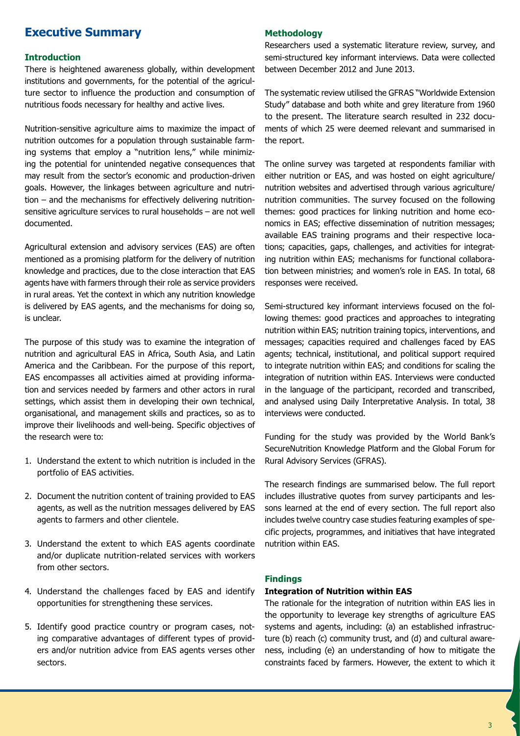# **Executive Summary**

### **Introduction**

There is heightened awareness globally, within development institutions and governments, for the potential of the agriculture sector to influence the production and consumption of nutritious foods necessary for healthy and active lives.

Nutrition-sensitive agriculture aims to maximize the impact of nutrition outcomes for a population through sustainable farming systems that employ a "nutrition lens," while minimizing the potential for unintended negative consequences that may result from the sector's economic and production-driven goals. However, the linkages between agriculture and nutrition – and the mechanisms for effectively delivering nutritionsensitive agriculture services to rural households – are not well documented.

Agricultural extension and advisory services (EAS) are often mentioned as a promising platform for the delivery of nutrition knowledge and practices, due to the close interaction that EAS agents have with farmers through their role as service providers in rural areas. Yet the context in which any nutrition knowledge is delivered by EAS agents, and the mechanisms for doing so, is unclear.

The purpose of this study was to examine the integration of nutrition and agricultural EAS in Africa, South Asia, and Latin America and the Caribbean. For the purpose of this report, EAS encompasses all activities aimed at providing information and services needed by farmers and other actors in rural settings, which assist them in developing their own technical, organisational, and management skills and practices, so as to improve their livelihoods and well-being. Specific objectives of the research were to:

- 1. Understand the extent to which nutrition is included in the portfolio of EAS activities.
- 2. Document the nutrition content of training provided to EAS agents, as well as the nutrition messages delivered by EAS agents to farmers and other clientele.
- 3. Understand the extent to which EAS agents coordinate and/or duplicate nutrition-related services with workers from other sectors.
- 4. Understand the challenges faced by EAS and identify opportunities for strengthening these services.
- 5. Identify good practice country or program cases, noting comparative advantages of different types of providers and/or nutrition advice from EAS agents verses other sectors.

### **Methodology**

Researchers used a systematic literature review, survey, and semi-structured key informant interviews. Data were collected between December 2012 and June 2013.

The systematic review utilised the GFRAS "Worldwide Extension Study" database and both white and grey literature from 1960 to the present. The literature search resulted in 232 documents of which 25 were deemed relevant and summarised in the report.

The online survey was targeted at respondents familiar with either nutrition or EAS, and was hosted on eight agriculture/ nutrition websites and advertised through various agriculture/ nutrition communities. The survey focused on the following themes: good practices for linking nutrition and home economics in EAS; effective dissemination of nutrition messages; available EAS training programs and their respective locations; capacities, gaps, challenges, and activities for integrating nutrition within EAS; mechanisms for functional collaboration between ministries; and women's role in EAS. In total, 68 responses were received.

Semi-structured key informant interviews focused on the following themes: good practices and approaches to integrating nutrition within EAS; nutrition training topics, interventions, and messages; capacities required and challenges faced by EAS agents; technical, institutional, and political support required to integrate nutrition within EAS; and conditions for scaling the integration of nutrition within EAS. Interviews were conducted in the language of the participant, recorded and transcribed, and analysed using Daily Interpretative Analysis. In total, 38 interviews were conducted.

Funding for the study was provided by the World Bank's SecureNutrition Knowledge Platform and the Global Forum for Rural Advisory Services (GFRAS).

The research findings are summarised below. The full report includes illustrative quotes from survey participants and lessons learned at the end of every section. The full report also includes twelve country case studies featuring examples of specific projects, programmes, and initiatives that have integrated nutrition within EAS.

### **Findings**

## **Integration of Nutrition within EAS**

The rationale for the integration of nutrition within EAS lies in the opportunity to leverage key strengths of agriculture EAS systems and agents, including: (a) an established infrastructure (b) reach (c) community trust, and (d) and cultural awareness, including (e) an understanding of how to mitigate the constraints faced by farmers. However, the extent to which it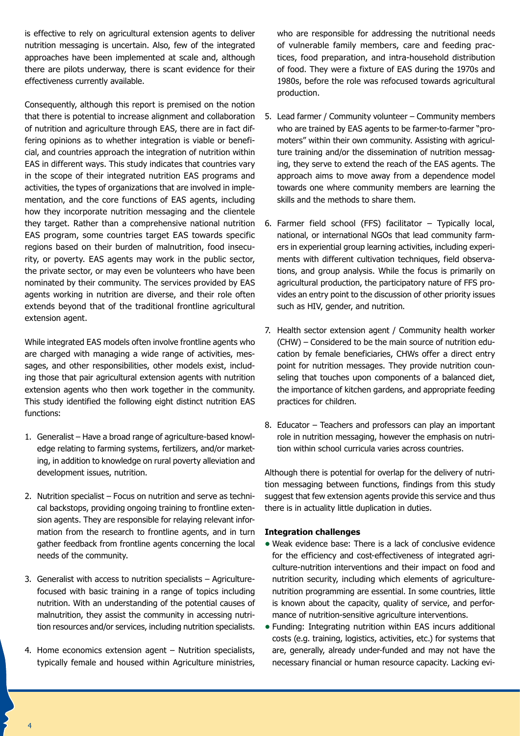is effective to rely on agricultural extension agents to deliver nutrition messaging is uncertain. Also, few of the integrated approaches have been implemented at scale and, although there are pilots underway, there is scant evidence for their effectiveness currently available.

Consequently, although this report is premised on the notion that there is potential to increase alignment and collaboration of nutrition and agriculture through EAS, there are in fact differing opinions as to whether integration is viable or beneficial, and countries approach the integration of nutrition within EAS in different ways. This study indicates that countries vary in the scope of their integrated nutrition EAS programs and activities, the types of organizations that are involved in implementation, and the core functions of EAS agents, including how they incorporate nutrition messaging and the clientele they target. Rather than a comprehensive national nutrition EAS program, some countries target EAS towards specific regions based on their burden of malnutrition, food insecurity, or poverty. EAS agents may work in the public sector, the private sector, or may even be volunteers who have been nominated by their community. The services provided by EAS agents working in nutrition are diverse, and their role often extends beyond that of the traditional frontline agricultural extension agent.

While integrated EAS models often involve frontline agents who are charged with managing a wide range of activities, messages, and other responsibilities, other models exist, including those that pair agricultural extension agents with nutrition extension agents who then work together in the community. This study identified the following eight distinct nutrition EAS functions:

- 1. Generalist Have a broad range of agriculture-based knowledge relating to farming systems, fertilizers, and/or marketing, in addition to knowledge on rural poverty alleviation and development issues, nutrition.
- 2. Nutrition specialist Focus on nutrition and serve as technical backstops, providing ongoing training to frontline extension agents. They are responsible for relaying relevant information from the research to frontline agents, and in turn gather feedback from frontline agents concerning the local needs of the community.
- 3. Generalist with access to nutrition specialists Agriculturefocused with basic training in a range of topics including nutrition. With an understanding of the potential causes of malnutrition, they assist the community in accessing nutrition resources and/or services, including nutrition specialists.
- 4. Home economics extension agent Nutrition specialists, typically female and housed within Agriculture ministries,

who are responsible for addressing the nutritional needs of vulnerable family members, care and feeding practices, food preparation, and intra-household distribution of food. They were a fixture of EAS during the 1970s and 1980s, before the role was refocused towards agricultural production.

- 5. Lead farmer / Community volunteer Community members who are trained by EAS agents to be farmer-to-farmer "promoters" within their own community. Assisting with agriculture training and/or the dissemination of nutrition messaging, they serve to extend the reach of the EAS agents. The approach aims to move away from a dependence model towards one where community members are learning the skills and the methods to share them.
- 6. Farmer field school (FFS) facilitator Typically local, national, or international NGOs that lead community farmers in experiential group learning activities, including experiments with different cultivation techniques, field observations, and group analysis. While the focus is primarily on agricultural production, the participatory nature of FFS provides an entry point to the discussion of other priority issues such as HIV, gender, and nutrition.
- 7. Health sector extension agent / Community health worker (CHW) – Considered to be the main source of nutrition education by female beneficiaries, CHWs offer a direct entry point for nutrition messages. They provide nutrition counseling that touches upon components of a balanced diet, the importance of kitchen gardens, and appropriate feeding practices for children.
- 8. Educator Teachers and professors can play an important role in nutrition messaging, however the emphasis on nutrition within school curricula varies across countries.

Although there is potential for overlap for the delivery of nutrition messaging between functions, findings from this study suggest that few extension agents provide this service and thus there is in actuality little duplication in duties.

# **Integration challenges**

- **•** Weak evidence base: There is a lack of conclusive evidence for the efficiency and cost-effectiveness of integrated agriculture-nutrition interventions and their impact on food and nutrition security, including which elements of agriculturenutrition programming are essential. In some countries, little is known about the capacity, quality of service, and performance of nutrition-sensitive agriculture interventions.
- **•** Funding: Integrating nutrition within EAS incurs additional costs (e.g. training, logistics, activities, etc.) for systems that are, generally, already under-funded and may not have the necessary financial or human resource capacity. Lacking evi-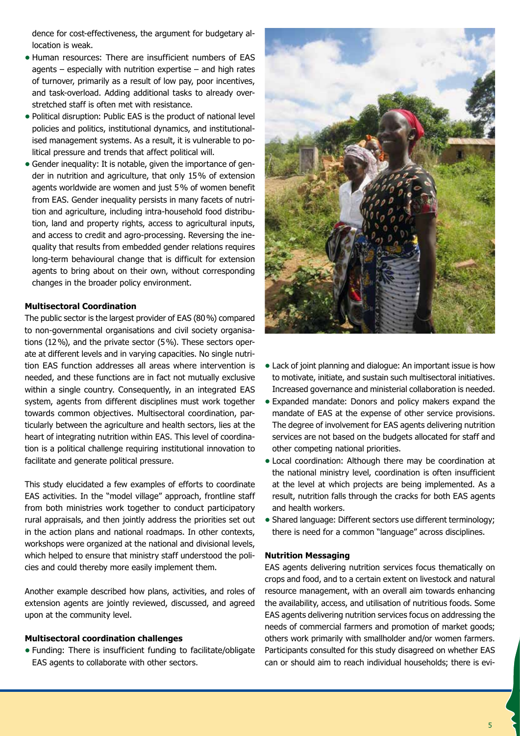dence for cost-effectiveness, the argument for budgetary allocation is weak.

- **•** Human resources: There are insufficient numbers of EAS agents – especially with nutrition expertise – and high rates of turnover, primarily as a result of low pay, poor incentives, and task-overload. Adding additional tasks to already overstretched staff is often met with resistance.
- **•** Political disruption: Public EAS is the product of national level policies and politics, institutional dynamics, and institutionalised management systems. As a result, it is vulnerable to political pressure and trends that affect political will.
- **•** Gender inequality: It is notable, given the importance of gender in nutrition and agriculture, that only 15% of extension agents worldwide are women and just 5% of women benefit from EAS. Gender inequality persists in many facets of nutrition and agriculture, including intra-household food distribution, land and property rights, access to agricultural inputs, and access to credit and agro-processing. Reversing the inequality that results from embedded gender relations requires long-term behavioural change that is difficult for extension agents to bring about on their own, without corresponding changes in the broader policy environment.

### **Multisectoral Coordination**

The public sector is the largest provider of EAS (80%) compared to non-governmental organisations and civil society organisations (12%), and the private sector (5%). These sectors operate at different levels and in varying capacities. No single nutrition EAS function addresses all areas where intervention is needed, and these functions are in fact not mutually exclusive within a single country. Consequently, in an integrated EAS system, agents from different disciplines must work together towards common objectives. Multisectoral coordination, particularly between the agriculture and health sectors, lies at the heart of integrating nutrition within EAS. This level of coordination is a political challenge requiring institutional innovation to facilitate and generate political pressure.

This study elucidated a few examples of efforts to coordinate EAS activities. In the "model village" approach, frontline staff from both ministries work together to conduct participatory rural appraisals, and then jointly address the priorities set out in the action plans and national roadmaps. In other contexts, workshops were organized at the national and divisional levels, which helped to ensure that ministry staff understood the policies and could thereby more easily implement them.

Another example described how plans, activities, and roles of extension agents are jointly reviewed, discussed, and agreed upon at the community level.

#### **Multisectoral coordination challenges**

**•** Funding: There is insufficient funding to facilitate/obligate EAS agents to collaborate with other sectors.



- **•** Lack of joint planning and dialogue: An important issue is how to motivate, initiate, and sustain such multisectoral initiatives. Increased governance and ministerial collaboration is needed.
- **•** Expanded mandate: Donors and policy makers expand the mandate of EAS at the expense of other service provisions. The degree of involvement for EAS agents delivering nutrition services are not based on the budgets allocated for staff and other competing national priorities.
- **•** Local coordination: Although there may be coordination at the national ministry level, coordination is often insufficient at the level at which projects are being implemented. As a result, nutrition falls through the cracks for both EAS agents and health workers.
- **•** Shared language: Different sectors use different terminology; there is need for a common "language" across disciplines.

### **Nutrition Messaging**

EAS agents delivering nutrition services focus thematically on crops and food, and to a certain extent on livestock and natural resource management, with an overall aim towards enhancing the availability, access, and utilisation of nutritious foods. Some EAS agents delivering nutrition services focus on addressing the needs of commercial farmers and promotion of market goods; others work primarily with smallholder and/or women farmers. Participants consulted for this study disagreed on whether EAS can or should aim to reach individual households; there is evi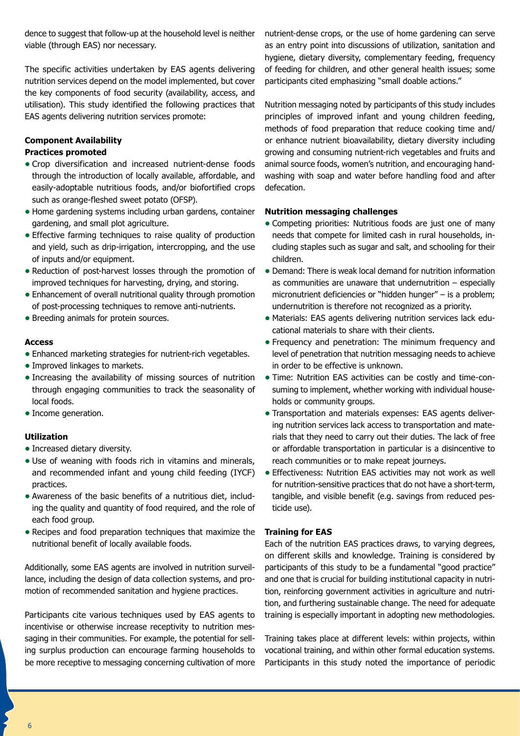dence to suggest that follow-up at the household level is neither viable (through EAS) nor necessary.

The specific activities undertaken by EAS agents delivering nutrition services depend on the model implemented, but cover the key components of food security (availability, access, and utilisation). This study identified the following practices that EAS agents delivering nutrition services promote:

# **Component Availability**

# **Practices promoted**

- **•** Crop diversification and increased nutrient-dense foods through the introduction of locally available, affordable, and easily-adoptable nutritious foods, and/or biofortified crops such as orange-fleshed sweet potato (OFSP).
- **•** Home gardening systems including urban gardens, container gardening, and small plot agriculture.
- **•** Effective farming techniques to raise quality of production and yield, such as drip-irrigation, intercropping, and the use of inputs and/or equipment.
- **•** Reduction of post-harvest losses through the promotion of improved techniques for harvesting, drying, and storing.
- **•** Enhancement of overall nutritional quality through promotion of post-processing techniques to remove anti-nutrients.
- **•** Breeding animals for protein sources.

# **Access**

- **•** Enhanced marketing strategies for nutrient-rich vegetables.
- **•** Improved linkages to markets.
- **•** Increasing the availability of missing sources of nutrition through engaging communities to track the seasonality of local foods.
- **•** Income generation.

# **Utilization**

- **•** Increased dietary diversity.
- **•** Use of weaning with foods rich in vitamins and minerals, and recommended infant and young child feeding (IYCF) practices.
- **•** Awareness of the basic benefits of a nutritious diet, including the quality and quantity of food required, and the role of each food group.
- **•** Recipes and food preparation techniques that maximize the nutritional benefit of locally available foods.

Additionally, some EAS agents are involved in nutrition surveillance, including the design of data collection systems, and promotion of recommended sanitation and hygiene practices.

Participants cite various techniques used by EAS agents to incentivise or otherwise increase receptivity to nutrition messaging in their communities. For example, the potential for selling surplus production can encourage farming households to be more receptive to messaging concerning cultivation of more nutrient-dense crops, or the use of home gardening can serve as an entry point into discussions of utilization, sanitation and hygiene, dietary diversity, complementary feeding, frequency of feeding for children, and other general health issues; some participants cited emphasizing "small doable actions."

Nutrition messaging noted by participants of this study includes principles of improved infant and young children feeding, methods of food preparation that reduce cooking time and/ or enhance nutrient bioavailability, dietary diversity including growing and consuming nutrient-rich vegetables and fruits and animal source foods, women's nutrition, and encouraging handwashing with soap and water before handling food and after defecation.

# **Nutrition messaging challenges**

- **•** Competing priorities: Nutritious foods are just one of many needs that compete for limited cash in rural households, including staples such as sugar and salt, and schooling for their children.
- **•** Demand: There is weak local demand for nutrition information as communities are unaware that undernutrition – especially micronutrient deficiencies or "hidden hunger" – is a problem; undernutrition is therefore not recognized as a priority.
- **•** Materials: EAS agents delivering nutrition services lack educational materials to share with their clients.
- **•** Frequency and penetration: The minimum frequency and level of penetration that nutrition messaging needs to achieve in order to be effective is unknown.
- **•** Time: Nutrition EAS activities can be costly and time-consuming to implement, whether working with individual households or community groups.
- **•** Transportation and materials expenses: EAS agents delivering nutrition services lack access to transportation and materials that they need to carry out their duties. The lack of free or affordable transportation in particular is a disincentive to reach communities or to make repeat journeys.
- **•** Effectiveness: Nutrition EAS activities may not work as well for nutrition-sensitive practices that do not have a short-term, tangible, and visible benefit (e.g. savings from reduced pesticide use).

# **Training for EAS**

Each of the nutrition EAS practices draws, to varying degrees, on different skills and knowledge. Training is considered by participants of this study to be a fundamental "good practice" and one that is crucial for building institutional capacity in nutrition, reinforcing government activities in agriculture and nutrition, and furthering sustainable change. The need for adequate training is especially important in adopting new methodologies.

Training takes place at different levels: within projects, within vocational training, and within other formal education systems. Participants in this study noted the importance of periodic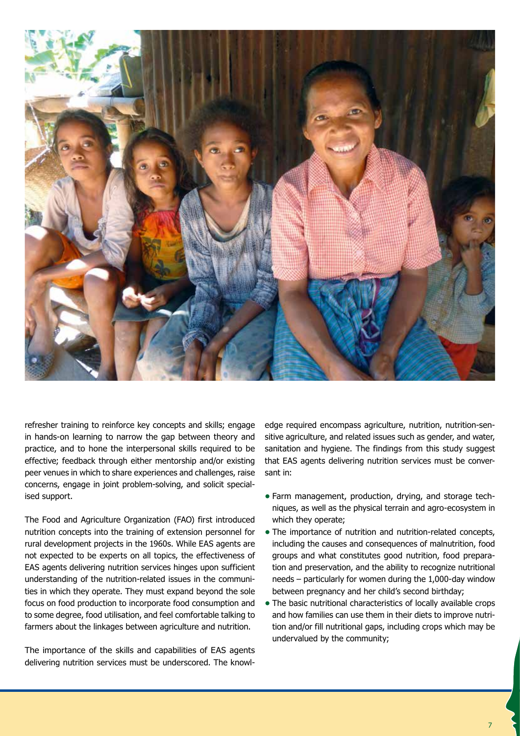

refresher training to reinforce key concepts and skills; engage in hands-on learning to narrow the gap between theory and practice, and to hone the interpersonal skills required to be effective; feedback through either mentorship and/or existing peer venues in which to share experiences and challenges, raise concerns, engage in joint problem-solving, and solicit specialised support.

The Food and Agriculture Organization (FAO) first introduced nutrition concepts into the training of extension personnel for rural development projects in the 1960s. While EAS agents are not expected to be experts on all topics, the effectiveness of EAS agents delivering nutrition services hinges upon sufficient understanding of the nutrition-related issues in the communities in which they operate. They must expand beyond the sole focus on food production to incorporate food consumption and to some degree, food utilisation, and feel comfortable talking to farmers about the linkages between agriculture and nutrition.

The importance of the skills and capabilities of EAS agents delivering nutrition services must be underscored. The knowledge required encompass agriculture, nutrition, nutrition-sensitive agriculture, and related issues such as gender, and water, sanitation and hygiene. The findings from this study suggest that EAS agents delivering nutrition services must be conversant in:

- **•** Farm management, production, drying, and storage techniques, as well as the physical terrain and agro-ecosystem in which they operate;
- **•** The importance of nutrition and nutrition-related concepts, including the causes and consequences of malnutrition, food groups and what constitutes good nutrition, food preparation and preservation, and the ability to recognize nutritional needs – particularly for women during the 1,000-day window between pregnancy and her child's second birthday;
- **•** The basic nutritional characteristics of locally available crops and how families can use them in their diets to improve nutrition and/or fill nutritional gaps, including crops which may be undervalued by the community;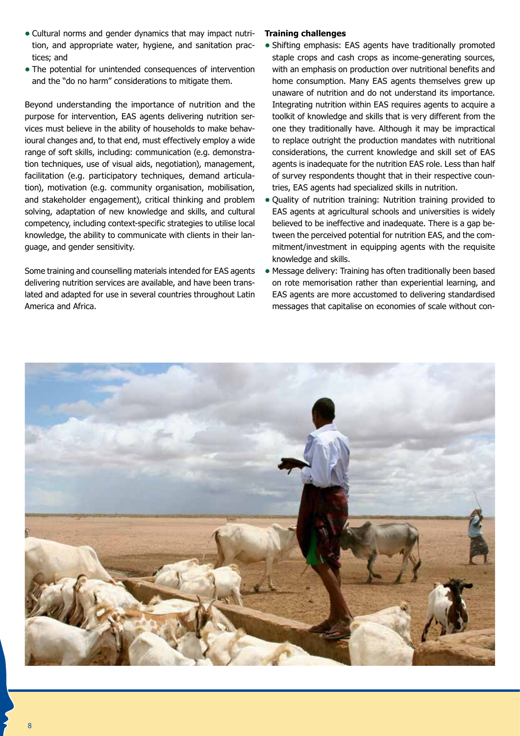- **•** Cultural norms and gender dynamics that may impact nutrition, and appropriate water, hygiene, and sanitation practices; and
- **•** The potential for unintended consequences of intervention and the "do no harm" considerations to mitigate them.

Beyond understanding the importance of nutrition and the purpose for intervention, EAS agents delivering nutrition services must believe in the ability of households to make behavioural changes and, to that end, must effectively employ a wide range of soft skills, including: communication (e.g. demonstration techniques, use of visual aids, negotiation), management, facilitation (e.g. participatory techniques, demand articulation), motivation (e.g. community organisation, mobilisation, and stakeholder engagement), critical thinking and problem solving, adaptation of new knowledge and skills, and cultural competency, including context-specific strategies to utilise local knowledge, the ability to communicate with clients in their language, and gender sensitivity.

Some training and counselling materials intended for EAS agents delivering nutrition services are available, and have been translated and adapted for use in several countries throughout Latin America and Africa.

# **Training challenges**

- **•** Shifting emphasis: EAS agents have traditionally promoted staple crops and cash crops as income-generating sources, with an emphasis on production over nutritional benefits and home consumption. Many EAS agents themselves grew up unaware of nutrition and do not understand its importance. Integrating nutrition within EAS requires agents to acquire a toolkit of knowledge and skills that is very different from the one they traditionally have. Although it may be impractical to replace outright the production mandates with nutritional considerations, the current knowledge and skill set of EAS agents is inadequate for the nutrition EAS role. Less than half of survey respondents thought that in their respective countries, EAS agents had specialized skills in nutrition.
- **•** Quality of nutrition training: Nutrition training provided to EAS agents at agricultural schools and universities is widely believed to be ineffective and inadequate. There is a gap between the perceived potential for nutrition EAS, and the commitment/investment in equipping agents with the requisite knowledge and skills.
- **•** Message delivery: Training has often traditionally been based on rote memorisation rather than experiential learning, and EAS agents are more accustomed to delivering standardised messages that capitalise on economies of scale without con-

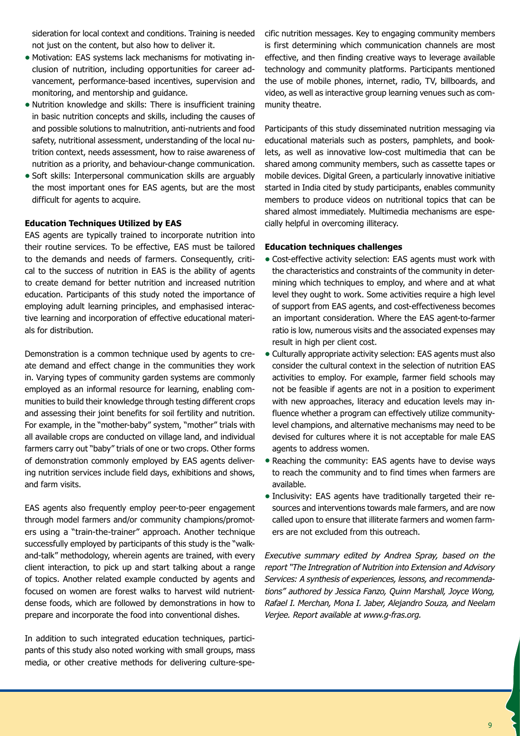sideration for local context and conditions. Training is needed not just on the content, but also how to deliver it.

- **•** Motivation: EAS systems lack mechanisms for motivating inclusion of nutrition, including opportunities for career advancement, performance-based incentives, supervision and monitoring, and mentorship and guidance.
- **•** Nutrition knowledge and skills: There is insufficient training in basic nutrition concepts and skills, including the causes of and possible solutions to malnutrition, anti-nutrients and food safety, nutritional assessment, understanding of the local nutrition context, needs assessment, how to raise awareness of nutrition as a priority, and behaviour-change communication.
- **•** Soft skills: Interpersonal communication skills are arguably the most important ones for EAS agents, but are the most difficult for agents to acquire.

# **Education Techniques Utilized by EAS**

EAS agents are typically trained to incorporate nutrition into their routine services. To be effective, EAS must be tailored to the demands and needs of farmers. Consequently, critical to the success of nutrition in EAS is the ability of agents to create demand for better nutrition and increased nutrition education. Participants of this study noted the importance of employing adult learning principles, and emphasised interactive learning and incorporation of effective educational materials for distribution.

Demonstration is a common technique used by agents to create demand and effect change in the communities they work in. Varying types of community garden systems are commonly employed as an informal resource for learning, enabling communities to build their knowledge through testing different crops and assessing their joint benefits for soil fertility and nutrition. For example, in the "mother-baby" system, "mother" trials with all available crops are conducted on village land, and individual farmers carry out "baby" trials of one or two crops. Other forms of demonstration commonly employed by EAS agents delivering nutrition services include field days, exhibitions and shows, and farm visits.

EAS agents also frequently employ peer-to-peer engagement through model farmers and/or community champions/promoters using a "train-the-trainer" approach. Another technique successfully employed by participants of this study is the "walkand-talk" methodology, wherein agents are trained, with every client interaction, to pick up and start talking about a range of topics. Another related example conducted by agents and focused on women are forest walks to harvest wild nutrientdense foods, which are followed by demonstrations in how to prepare and incorporate the food into conventional dishes.

In addition to such integrated education techniques, participants of this study also noted working with small groups, mass media, or other creative methods for delivering culture-specific nutrition messages. Key to engaging community members is first determining which communication channels are most effective, and then finding creative ways to leverage available technology and community platforms. Participants mentioned the use of mobile phones, internet, radio, TV, billboards, and video, as well as interactive group learning venues such as community theatre.

Participants of this study disseminated nutrition messaging via educational materials such as posters, pamphlets, and booklets, as well as innovative low-cost multimedia that can be shared among community members, such as cassette tapes or mobile devices. Digital Green, a particularly innovative initiative started in India cited by study participants, enables community members to produce videos on nutritional topics that can be shared almost immediately. Multimedia mechanisms are especially helpful in overcoming illiteracy.

### **Education techniques challenges**

- **•** Cost-effective activity selection: EAS agents must work with the characteristics and constraints of the community in determining which techniques to employ, and where and at what level they ought to work. Some activities require a high level of support from EAS agents, and cost-effectiveness becomes an important consideration. Where the EAS agent-to-farmer ratio is low, numerous visits and the associated expenses may result in high per client cost.
- **•** Culturally appropriate activity selection: EAS agents must also consider the cultural context in the selection of nutrition EAS activities to employ. For example, farmer field schools may not be feasible if agents are not in a position to experiment with new approaches, literacy and education levels may influence whether a program can effectively utilize communitylevel champions, and alternative mechanisms may need to be devised for cultures where it is not acceptable for male EAS agents to address women.
- **•** Reaching the community: EAS agents have to devise ways to reach the community and to find times when farmers are available.
- **•** Inclusivity: EAS agents have traditionally targeted their resources and interventions towards male farmers, and are now called upon to ensure that illiterate farmers and women farmers are not excluded from this outreach.

*Executive summary edited by Andrea Spray, based on the report "The Intregration of Nutrition into Extension and Advisory Services: A synthesis of experiences, lessons, and recommendations" authored by Jessica Fanzo, Quinn Marshall, Joyce Wong, Rafael I. Merchan, Mona I. Jaber, Alejandro Souza, and Neelam Verjee. Report available at www.g-fras.org.*